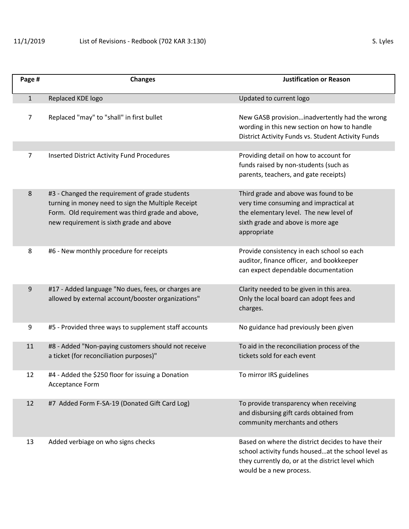| Page #       | <b>Changes</b>                                        | <b>Justification or Reason</b>                                                                                                                      |
|--------------|-------------------------------------------------------|-----------------------------------------------------------------------------------------------------------------------------------------------------|
| $\mathbf{1}$ | Replaced KDE logo                                     | Updated to current logo                                                                                                                             |
| 7            | Replaced "may" to "shall" in first bullet             | New GASB provisioninadvertently had the wrong<br>wording in this new section on how to handle<br>District Activity Funds vs. Student Activity Funds |
|              |                                                       |                                                                                                                                                     |
| 7            | <b>Inserted District Activity Fund Procedures</b>     | Providing detail on how to account for<br>funds raised by non-students (such as<br>parents, teachers, and gate receipts)                            |
| 8            | #3 - Changed the requirement of grade students        | Third grade and above was found to be                                                                                                               |
|              | turning in money need to sign the Multiple Receipt    | very time consuming and impractical at                                                                                                              |
|              | Form. Old requirement was third grade and above,      | the elementary level. The new level of                                                                                                              |
|              | new requirement is sixth grade and above              | sixth grade and above is more age<br>appropriate                                                                                                    |
|              |                                                       |                                                                                                                                                     |
| 8            | #6 - New monthly procedure for receipts               | Provide consistency in each school so each                                                                                                          |
|              |                                                       | auditor, finance officer, and bookkeeper                                                                                                            |
|              |                                                       | can expect dependable documentation                                                                                                                 |
| 9            | #17 - Added language "No dues, fees, or charges are   | Clarity needed to be given in this area.                                                                                                            |
|              | allowed by external account/booster organizations"    | Only the local board can adopt fees and                                                                                                             |
|              |                                                       | charges.                                                                                                                                            |
|              | #5 - Provided three ways to supplement staff accounts |                                                                                                                                                     |
| 9            |                                                       | No guidance had previously been given                                                                                                               |
| 11           | #8 - Added "Non-paying customers should not receive   | To aid in the reconciliation process of the                                                                                                         |
|              | a ticket (for reconciliation purposes)"               | tickets sold for each event                                                                                                                         |
| 12           | #4 - Added the \$250 floor for issuing a Donation     | To mirror IRS guidelines                                                                                                                            |
|              | <b>Acceptance Form</b>                                |                                                                                                                                                     |
|              |                                                       |                                                                                                                                                     |
| 12           | #7 Added Form F-SA-19 (Donated Gift Card Log)         | To provide transparency when receiving                                                                                                              |
|              |                                                       | and disbursing gift cards obtained from                                                                                                             |
|              |                                                       | community merchants and others                                                                                                                      |
| 13           | Added verbiage on who signs checks                    | Based on where the district decides to have their                                                                                                   |
|              |                                                       | school activity funds housedat the school level as                                                                                                  |
|              |                                                       | they currently do, or at the district level which                                                                                                   |
|              |                                                       | would be a new process.                                                                                                                             |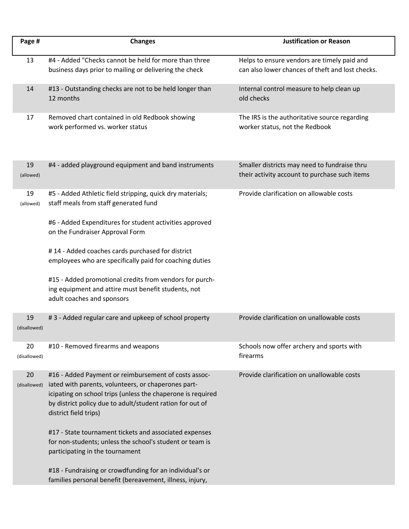| Page #             | <b>Changes</b>                                                                                                                                                                                                                                                   | <b>Justification or Reason</b>                                                                  |
|--------------------|------------------------------------------------------------------------------------------------------------------------------------------------------------------------------------------------------------------------------------------------------------------|-------------------------------------------------------------------------------------------------|
| 13                 | #4 - Added "Checks cannot be held for more than three<br>business days prior to mailing or delivering the check                                                                                                                                                  | Helps to ensure vendors are timely paid and<br>can also lower chances of theft and lost checks. |
| 14                 | #13 - Outstanding checks are not to be held longer than<br>12 months                                                                                                                                                                                             | Internal control measure to help clean up<br>old checks                                         |
| 17                 | Removed chart contained in old Redbook showing<br>work performed vs. worker status                                                                                                                                                                               | The IRS is the authoritative source regarding<br>worker status, not the Redbook                 |
| 19<br>(allowed)    | #4 - added playground equipment and band instruments                                                                                                                                                                                                             | Smaller districts may need to fundraise thru<br>their activity account to purchase such items   |
| 19<br>(allowed)    | #5 - Added Athletic field stripping, quick dry materials;<br>staff meals from staff generated fund                                                                                                                                                               | Provide clarification on allowable costs                                                        |
|                    | #6 - Added Expenditures for student activities approved<br>on the Fundraiser Approval Form                                                                                                                                                                       |                                                                                                 |
|                    | #14 - Added coaches cards purchased for district<br>employees who are specifically paid for coaching duties                                                                                                                                                      |                                                                                                 |
|                    | #15 - Added promotional credits from vendors for purch-<br>ing equipment and attire must benefit students, not<br>adult coaches and sponsors                                                                                                                     |                                                                                                 |
| 19<br>(disallowed) | #3 - Added regular care and upkeep of school property                                                                                                                                                                                                            | Provide clarification on unallowable costs                                                      |
| 20<br>(disallowed) | #10 - Removed firearms and weapons                                                                                                                                                                                                                               | Schools now offer archery and sports with<br>firearms                                           |
| 20<br>(disallowed) | #16 - Added Payment or reimbursement of costs assoc-<br>iated with parents, volunteers, or chaperones part-<br>icipating on school trips (unless the chaperone is required<br>by district policy due to adult/student ration for out of<br>district field trips) | Provide clarification on unallowable costs                                                      |
|                    | #17 - State tournament tickets and associated expenses<br>for non-students; unless the school's student or team is<br>participating in the tournament                                                                                                            |                                                                                                 |
|                    | #18 - Fundraising or crowdfunding for an individual's or<br>families personal benefit (bereavement, illness, injury,                                                                                                                                             |                                                                                                 |